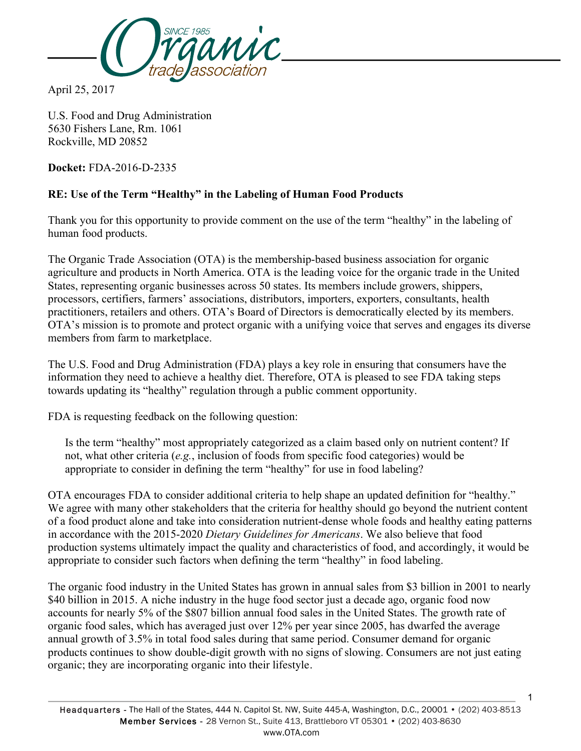

April 25, 2017

U.S. Food and Drug Administration 5630 Fishers Lane, Rm. 1061 Rockville, MD 20852

**Docket:** FDA-2016-D-2335

## **RE: Use of the Term "Healthy" in the Labeling of Human Food Products**

Thank you for this opportunity to provide comment on the use of the term "healthy" in the labeling of human food products.

The Organic Trade Association (OTA) is the membership-based business association for organic agriculture and products in North America. OTA is the leading voice for the organic trade in the United States, representing organic businesses across 50 states. Its members include growers, shippers, processors, certifiers, farmers' associations, distributors, importers, exporters, consultants, health practitioners, retailers and others. OTA's Board of Directors is democratically elected by its members. OTA's mission is to promote and protect organic with a unifying voice that serves and engages its diverse members from farm to marketplace.

The U.S. Food and Drug Administration (FDA) plays a key role in ensuring that consumers have the information they need to achieve a healthy diet. Therefore, OTA is pleased to see FDA taking steps towards updating its "healthy" regulation through a public comment opportunity.

FDA is requesting feedback on the following question:

Is the term "healthy" most appropriately categorized as a claim based only on nutrient content? If not, what other criteria (*e.g.*, inclusion of foods from specific food categories) would be appropriate to consider in defining the term "healthy" for use in food labeling?

OTA encourages FDA to consider additional criteria to help shape an updated definition for "healthy." We agree with many other stakeholders that the criteria for healthy should go beyond the nutrient content of a food product alone and take into consideration nutrient-dense whole foods and healthy eating patterns in accordance with the 2015-2020 *Dietary Guidelines for Americans*. We also believe that food production systems ultimately impact the quality and characteristics of food, and accordingly, it would be appropriate to consider such factors when defining the term "healthy" in food labeling.

The organic food industry in the United States has grown in annual sales from \$3 billion in 2001 to nearly \$40 billion in 2015. A niche industry in the huge food sector just a decade ago, organic food now accounts for nearly 5% of the \$807 billion annual food sales in the United States. The growth rate of organic food sales, which has averaged just over 12% per year since 2005, has dwarfed the average annual growth of 3.5% in total food sales during that same period. Consumer demand for organic products continues to show double-digit growth with no signs of slowing. Consumers are not just eating organic; they are incorporating organic into their lifestyle.

1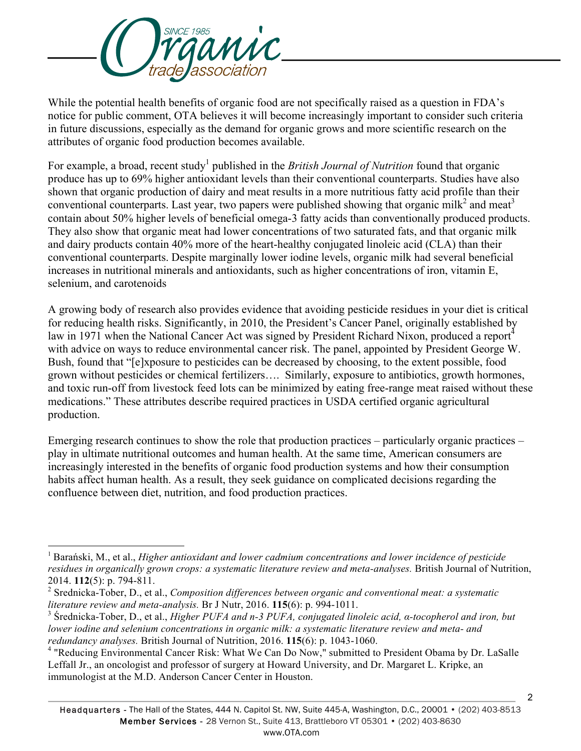

-

While the potential health benefits of organic food are not specifically raised as a question in FDA's notice for public comment, OTA believes it will become increasingly important to consider such criteria in future discussions, especially as the demand for organic grows and more scientific research on the attributes of organic food production becomes available.

For example, a broad, recent study<sup>1</sup> published in the *British Journal of Nutrition* found that organic produce has up to 69% higher antioxidant levels than their conventional counterparts. Studies have also shown that organic production of dairy and meat results in a more nutritious fatty acid profile than their conventional counterparts. Last year, two papers were published showing that organic milk<sup>2</sup> and meat<sup>3</sup> contain about 50% higher levels of beneficial omega-3 fatty acids than conventionally produced products. They also show that organic meat had lower concentrations of two saturated fats, and that organic milk and dairy products contain 40% more of the heart-healthy conjugated linoleic acid (CLA) than their conventional counterparts. Despite marginally lower iodine levels, organic milk had several beneficial increases in nutritional minerals and antioxidants, such as higher concentrations of iron, vitamin E, selenium, and carotenoids

A growing body of research also provides evidence that avoiding pesticide residues in your diet is critical for reducing health risks. Significantly, in 2010, the President's Cancer Panel, originally established by law in 1971 when the National Cancer Act was signed by President Richard Nixon, produced a report<sup>4</sup> with advice on ways to reduce environmental cancer risk. The panel, appointed by President George W. Bush, found that "[e]xposure to pesticides can be decreased by choosing, to the extent possible, food grown without pesticides or chemical fertilizers…. Similarly, exposure to antibiotics, growth hormones, and toxic run-off from livestock feed lots can be minimized by eating free-range meat raised without these medications." These attributes describe required practices in USDA certified organic agricultural production.

Emerging research continues to show the role that production practices – particularly organic practices – play in ultimate nutritional outcomes and human health. At the same time, American consumers are increasingly interested in the benefits of organic food production systems and how their consumption habits affect human health. As a result, they seek guidance on complicated decisions regarding the confluence between diet, nutrition, and food production practices.

<sup>1</sup> Barański, M., et al., *Higher antioxidant and lower cadmium concentrations and lower incidence of pesticide residues in organically grown crops: a systematic literature review and meta-analyses.* British Journal of Nutrition, 2014. **112**(5): p. 794-811.

<sup>2</sup> Srednicka-Tober, D., et al., *Composition differences between organic and conventional meat: a systematic literature review and meta-analysis.* Br J Nutr, 2016. **115**(6): p. 994-1011.

<sup>3</sup> Średnicka-Tober, D., et al., *Higher PUFA and n-3 PUFA, conjugated linoleic acid, α-tocopherol and iron, but lower iodine and selenium concentrations in organic milk: a systematic literature review and meta- and redundancy analyses.* British Journal of Nutrition, 2016. **115**(6): p. 1043-1060.

<sup>4</sup> "Reducing Environmental Cancer Risk: What We Can Do Now," submitted to President Obama by Dr. LaSalle Leffall Jr., an oncologist and professor of surgery at Howard University, and Dr. Margaret L. Kripke, an immunologist at the M.D. Anderson Cancer Center in Houston.